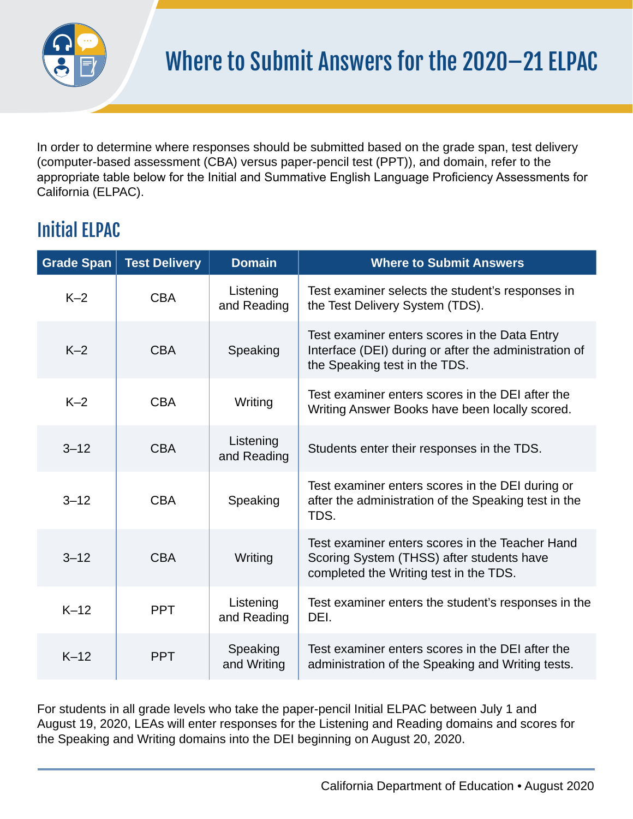

In order to determine where responses should be submitted based on the grade span, test delivery (computer-based assessment (CBA) versus paper-pencil test (PPT)), and domain, refer to the appropriate table below for the Initial and Summative English Language Proficiency Assessments for California (ELPAC).

## Initial ELPAC

| <b>Grade Span</b> | <b>Test Delivery</b> | <b>Domain</b>            | <b>Where to Submit Answers</b>                                                                                                          |
|-------------------|----------------------|--------------------------|-----------------------------------------------------------------------------------------------------------------------------------------|
| $K-2$             | <b>CBA</b>           | Listening<br>and Reading | Test examiner selects the student's responses in<br>the Test Delivery System (TDS).                                                     |
| $K-2$             | <b>CBA</b>           | Speaking                 | Test examiner enters scores in the Data Entry<br>Interface (DEI) during or after the administration of<br>the Speaking test in the TDS. |
| $K-2$             | <b>CBA</b>           | Writing                  | Test examiner enters scores in the DEI after the<br>Writing Answer Books have been locally scored.                                      |
| $3 - 12$          | <b>CBA</b>           | Listening<br>and Reading | Students enter their responses in the TDS.                                                                                              |
| $3 - 12$          | <b>CBA</b>           | Speaking                 | Test examiner enters scores in the DEI during or<br>after the administration of the Speaking test in the<br>TDS.                        |
| $3 - 12$          | <b>CBA</b>           | Writing                  | Test examiner enters scores in the Teacher Hand<br>Scoring System (THSS) after students have<br>completed the Writing test in the TDS.  |
| $K-12$            | <b>PPT</b>           | Listening<br>and Reading | Test examiner enters the student's responses in the<br>DEI.                                                                             |
| $K-12$            | <b>PPT</b>           | Speaking<br>and Writing  | Test examiner enters scores in the DEI after the<br>administration of the Speaking and Writing tests.                                   |

For students in all grade levels who take the paper-pencil Initial ELPAC between July 1 and August 19, 2020, LEAs will enter responses for the Listening and Reading domains and scores for the Speaking and Writing domains into the DEI beginning on August 20, 2020.